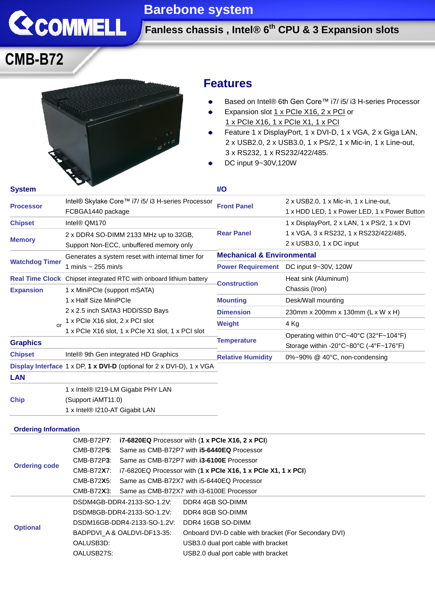

## **Barebone system**

**Fanless chassis , Intel® 6 th CPU & 3 Expansion slots**

# **CMB-B72**



### **Features**

- Based on Intel® 6th Gen Core™ i7/ i5/ i3 H-series Processor ٠
- Expansion slot 1 x PCIe X16, 2 x PCI or ۰ 1 x PCIe X16, 1 x PCIe X1, 1 x PCI
- Feature 1 x DisplayPort, 1 x DVI-D, 1 x VGA, 2 x Giga LAN,  $\bullet$ 2 x USB2.0, 2 x USB3.0, 1 x PS/2, 1 x Mic-in, 1 x Line-out, 3 x RS232, 1 x RS232/422/485.
- DC input 9~30V,120W

| <b>System</b>                  |                                                                                              | <b>I/O</b>                            |                                                                                                              |
|--------------------------------|----------------------------------------------------------------------------------------------|---------------------------------------|--------------------------------------------------------------------------------------------------------------|
| <b>Processor</b>               | Intel® Skylake Core™ i7/ i5/ i3 H-series Processor<br>FCBGA1440 package                      | <b>Front Panel</b>                    | 2 x USB2.0, 1 x Mic-in, 1 x Line-out,<br>1 x HDD LED, 1 x Power LED, 1 x Power Button                        |
| <b>Chipset</b>                 | Intel® QM170                                                                                 |                                       | 1 x DisplayPort, 2 x LAN, 1 x PS/2, 1 x DVI                                                                  |
| <b>Memory</b>                  | 2 x DDR4 SO-DIMM 2133 MHz up to 32GB,                                                        | <b>Rear Panel</b>                     | 1 x VGA, 3 x RS232, 1 x RS232/422/485,                                                                       |
|                                | Support Non-ECC, unbuffered memory only                                                      |                                       | $2 \times$ USB3.0, 1 $\times$ DC input                                                                       |
| <b>Watchdog Timer</b>          | Generates a system reset with internal timer for<br>1 min/s $\sim$ 255 min/s                 | <b>Mechanical &amp; Environmental</b> |                                                                                                              |
|                                |                                                                                              | <b>Power Requirement</b>              | DC input 9~30V, 120W                                                                                         |
|                                | <b>Real Time Clock</b> Chipset integrated RTC with onboard lithium battery                   | <b>Construction</b>                   | Heat sink (Aluminum)                                                                                         |
| <b>Expansion</b><br>$\alpha$ r | 1 x MiniPCle (support mSATA)                                                                 |                                       | Chassis (Iron)                                                                                               |
|                                | 1 x Half Size MiniPCle<br>2 x 2.5 inch SATA3 HDD/SSD Bays<br>1 x PCIe X16 slot, 2 x PCI slot | <b>Mounting</b>                       | Desk/Wall mounting                                                                                           |
|                                |                                                                                              | <b>Dimension</b>                      | 230mm x 200mm x 130mm (L x W x H)                                                                            |
|                                |                                                                                              | Weight                                | 4 Kg                                                                                                         |
|                                | 1 x PCIe X16 slot, 1 x PCIe X1 slot, 1 x PCI slot                                            |                                       | Operating within 0°C~40°C (32°F~104°F)                                                                       |
| <b>Graphics</b>                |                                                                                              | <b>Temperature</b>                    | Storage within -20 $\textdegree$ C $\sim$ 80 $\textdegree$ C (-4 $\textdegree$ F $\sim$ 176 $\textdegree$ F) |
| <b>Chipset</b>                 | Intel® 9th Gen integrated HD Graphics                                                        | <b>Relative Humidity</b>              | $0\%~90\%$ @ 40 $°C$ , non-condensing                                                                        |
|                                | Display Interface 1 x DP, 1 x DVI-D (optional for 2 x DVI-D), 1 x VGA                        |                                       |                                                                                                              |
| <b>LAN</b>                     |                                                                                              |                                       |                                                                                                              |
|                                | 1 x Intel® I219-LM Gigabit PHY LAN                                                           |                                       |                                                                                                              |
| <b>Chip</b>                    | (Support iAMT11.0)                                                                           |                                       |                                                                                                              |
|                                | 1 x Intel® I210-AT Gigabit LAN                                                               |                                       |                                                                                                              |

| <b>Ordering code</b> | CMB-B72P7: i7-6820EQ Processor with (1 x PCIe X16, 2 x PCI) |                                                                          |  |
|----------------------|-------------------------------------------------------------|--------------------------------------------------------------------------|--|
|                      | CMB-B72P <b>5</b> :                                         | Same as CMB-B72P7 with <b>i5-6440EQ</b> Processor                        |  |
|                      | CMB-B72P3:                                                  | Same as CMB-B72P7 with <b>i3-6100E</b> Processor                         |  |
|                      | CMB-B72 <b>X</b> 7:                                         | i7-6820EQ Processor with $(1 \times PC$ le X16, 1 x PCle X1, 1 x PCI $)$ |  |
|                      | CMB-B72 <b>X</b> 5:                                         | Same as CMB-B72X7 with i5-6440EQ Processor                               |  |
|                      | CMB-B72X3: Same as CMB-B72X7 with i3-6100E Processor        |                                                                          |  |
| <b>Optional</b>      | DSDM4GB-DDR4-2133-SO-1.2V:                                  | DDR4 4GB SO-DIMM                                                         |  |
|                      | DSDM8GB-DDR4-2133-SO-1.2V:                                  | DDR4 8GB SO-DIMM                                                         |  |
|                      | DSDM16GB-DDR4-2133-SO-1.2V:                                 | DDR4 16GB SO-DIMM                                                        |  |
|                      | BADPDVI A & OALDVI-DF13-35:                                 | Onboard DVI-D cable with bracket (For Secondary DVI)                     |  |
|                      | OALUSB3D:                                                   | USB3.0 dual port cable with bracket                                      |  |
|                      | OALUSB27S:                                                  | USB2.0 dual port cable with bracket                                      |  |